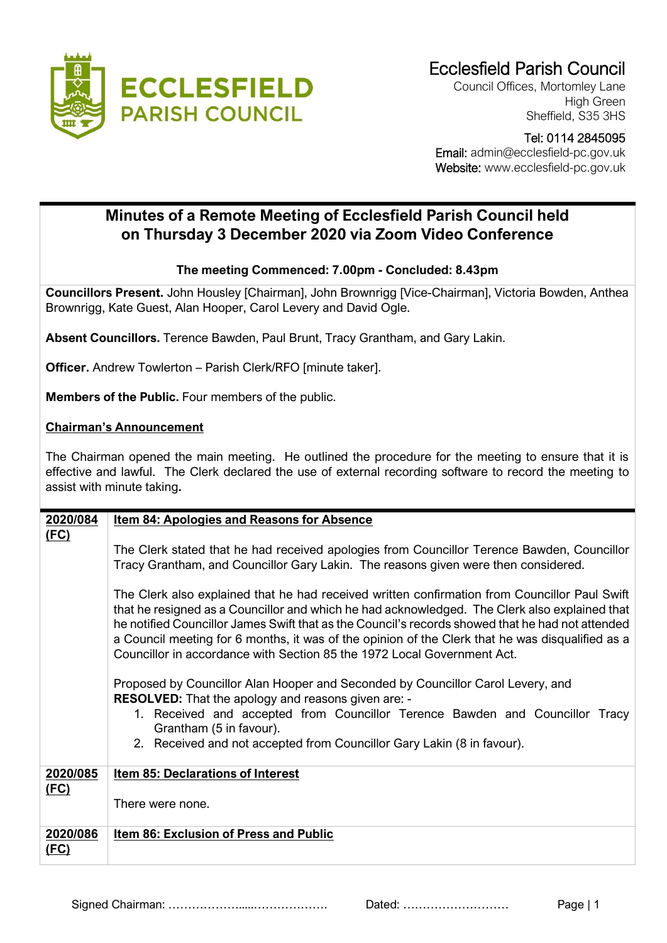

Council Offices, Mortomley Lane High Green Sheffield, S35 3HS

Tel: 0114 2845095

 Email: admin@ecclesfield-pc.gov.uk Website: www.ecclesfield-pc.gov.uk

## **Minutes of a Remote Meeting of Ecclesfield Parish Council held on Thursday 3 December 2020 via Zoom Video Conference**

## **The meeting Commenced: 7.00pm - Concluded: 8.43pm**

**Councillors Present.** John Housley [Chairman], John Brownrigg [Vice-Chairman], Victoria Bowden, Anthea Brownrigg, Kate Guest, Alan Hooper, Carol Levery and David Ogle.

**Absent Councillors.** Terence Bawden, Paul Brunt, Tracy Grantham, and Gary Lakin.

**Officer.** Andrew Towlerton – Parish Clerk/RFO [minute taker].

**Members of the Public.** Four members of the public.

## **Chairman's Announcement**

The Chairman opened the main meeting. He outlined the procedure for the meeting to ensure that it is effective and lawful. The Clerk declared the use of external recording software to record the meeting to assist with minute taking**.**

| 2020/084                | <b>Item 84: Apologies and Reasons for Absence</b>                                                                                                                                                                                                                                                                                                                                                                                                                                                                                                                                                                                                                                                                                                                                                                                                                                                                                 |
|-------------------------|-----------------------------------------------------------------------------------------------------------------------------------------------------------------------------------------------------------------------------------------------------------------------------------------------------------------------------------------------------------------------------------------------------------------------------------------------------------------------------------------------------------------------------------------------------------------------------------------------------------------------------------------------------------------------------------------------------------------------------------------------------------------------------------------------------------------------------------------------------------------------------------------------------------------------------------|
| <u>(FC)</u>             | The Clerk stated that he had received apologies from Councillor Terence Bawden, Councillor<br>Tracy Grantham, and Councillor Gary Lakin. The reasons given were then considered.<br>The Clerk also explained that he had received written confirmation from Councillor Paul Swift<br>that he resigned as a Councillor and which he had acknowledged. The Clerk also explained that<br>he notified Councillor James Swift that as the Council's records showed that he had not attended<br>a Council meeting for 6 months, it was of the opinion of the Clerk that he was disqualified as a<br>Councillor in accordance with Section 85 the 1972 Local Government Act.<br>Proposed by Councillor Alan Hooper and Seconded by Councillor Carol Levery, and<br><b>RESOLVED:</b> That the apology and reasons given are: -<br>1. Received and accepted from Councillor Terence Bawden and Councillor Tracy<br>Grantham (5 in favour). |
|                         | 2. Received and not accepted from Councillor Gary Lakin (8 in favour).                                                                                                                                                                                                                                                                                                                                                                                                                                                                                                                                                                                                                                                                                                                                                                                                                                                            |
| 2020/085<br><u>(FC)</u> | <b>Item 85: Declarations of Interest</b>                                                                                                                                                                                                                                                                                                                                                                                                                                                                                                                                                                                                                                                                                                                                                                                                                                                                                          |
|                         | There were none.                                                                                                                                                                                                                                                                                                                                                                                                                                                                                                                                                                                                                                                                                                                                                                                                                                                                                                                  |
| 2020/086<br><u>(FC)</u> | <b>Item 86: Exclusion of Press and Public</b>                                                                                                                                                                                                                                                                                                                                                                                                                                                                                                                                                                                                                                                                                                                                                                                                                                                                                     |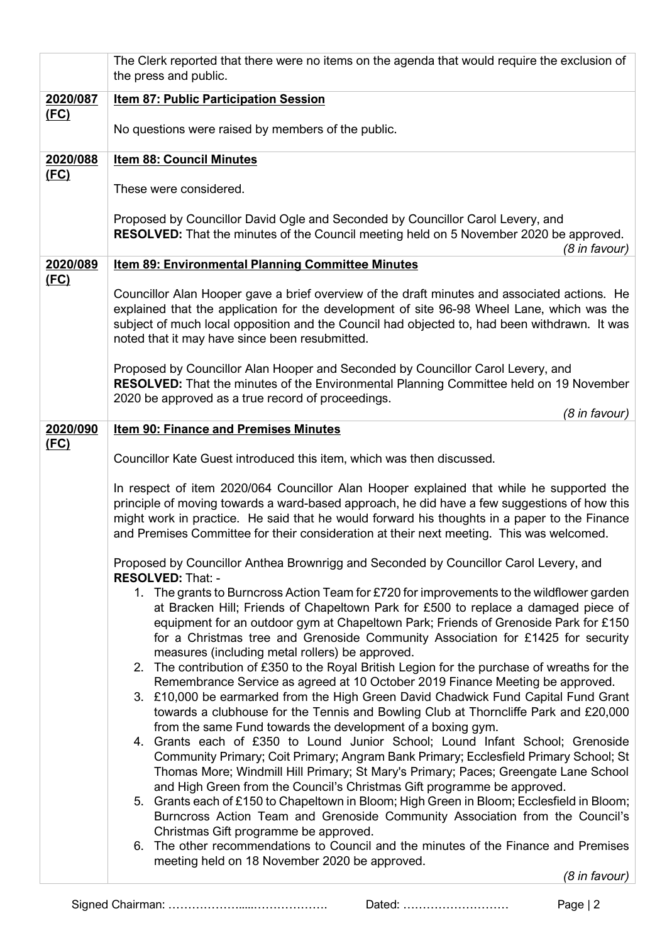|                  | The Clerk reported that there were no items on the agenda that would require the exclusion of<br>the press and public.                                                                                                                                                                                                                                                                                                                                                                                                                                                                                                                                                                                                                                                                                                                                                                                                                                                                                                                                                                                                                                                                                                                                                                                                                                                                                                                                                                              |
|------------------|-----------------------------------------------------------------------------------------------------------------------------------------------------------------------------------------------------------------------------------------------------------------------------------------------------------------------------------------------------------------------------------------------------------------------------------------------------------------------------------------------------------------------------------------------------------------------------------------------------------------------------------------------------------------------------------------------------------------------------------------------------------------------------------------------------------------------------------------------------------------------------------------------------------------------------------------------------------------------------------------------------------------------------------------------------------------------------------------------------------------------------------------------------------------------------------------------------------------------------------------------------------------------------------------------------------------------------------------------------------------------------------------------------------------------------------------------------------------------------------------------------|
| 2020/087<br>(FC) | <b>Item 87: Public Participation Session</b>                                                                                                                                                                                                                                                                                                                                                                                                                                                                                                                                                                                                                                                                                                                                                                                                                                                                                                                                                                                                                                                                                                                                                                                                                                                                                                                                                                                                                                                        |
|                  | No questions were raised by members of the public.                                                                                                                                                                                                                                                                                                                                                                                                                                                                                                                                                                                                                                                                                                                                                                                                                                                                                                                                                                                                                                                                                                                                                                                                                                                                                                                                                                                                                                                  |
| 2020/088<br>(FC) | <b>Item 88: Council Minutes</b>                                                                                                                                                                                                                                                                                                                                                                                                                                                                                                                                                                                                                                                                                                                                                                                                                                                                                                                                                                                                                                                                                                                                                                                                                                                                                                                                                                                                                                                                     |
|                  | These were considered.                                                                                                                                                                                                                                                                                                                                                                                                                                                                                                                                                                                                                                                                                                                                                                                                                                                                                                                                                                                                                                                                                                                                                                                                                                                                                                                                                                                                                                                                              |
|                  | Proposed by Councillor David Ogle and Seconded by Councillor Carol Levery, and<br>RESOLVED: That the minutes of the Council meeting held on 5 November 2020 be approved.<br>(8 in favour)                                                                                                                                                                                                                                                                                                                                                                                                                                                                                                                                                                                                                                                                                                                                                                                                                                                                                                                                                                                                                                                                                                                                                                                                                                                                                                           |
| 2020/089         | Item 89: Environmental Planning Committee Minutes                                                                                                                                                                                                                                                                                                                                                                                                                                                                                                                                                                                                                                                                                                                                                                                                                                                                                                                                                                                                                                                                                                                                                                                                                                                                                                                                                                                                                                                   |
| (FC)             | Councillor Alan Hooper gave a brief overview of the draft minutes and associated actions. He<br>explained that the application for the development of site 96-98 Wheel Lane, which was the<br>subject of much local opposition and the Council had objected to, had been withdrawn. It was<br>noted that it may have since been resubmitted.                                                                                                                                                                                                                                                                                                                                                                                                                                                                                                                                                                                                                                                                                                                                                                                                                                                                                                                                                                                                                                                                                                                                                        |
|                  | Proposed by Councillor Alan Hooper and Seconded by Councillor Carol Levery, and<br><b>RESOLVED:</b> That the minutes of the Environmental Planning Committee held on 19 November<br>2020 be approved as a true record of proceedings.                                                                                                                                                                                                                                                                                                                                                                                                                                                                                                                                                                                                                                                                                                                                                                                                                                                                                                                                                                                                                                                                                                                                                                                                                                                               |
| 2020/090         | (8 in favour)<br><b>Item 90: Finance and Premises Minutes</b>                                                                                                                                                                                                                                                                                                                                                                                                                                                                                                                                                                                                                                                                                                                                                                                                                                                                                                                                                                                                                                                                                                                                                                                                                                                                                                                                                                                                                                       |
| (FC)             | Councillor Kate Guest introduced this item, which was then discussed.                                                                                                                                                                                                                                                                                                                                                                                                                                                                                                                                                                                                                                                                                                                                                                                                                                                                                                                                                                                                                                                                                                                                                                                                                                                                                                                                                                                                                               |
|                  | In respect of item 2020/064 Councillor Alan Hooper explained that while he supported the<br>principle of moving towards a ward-based approach, he did have a few suggestions of how this<br>might work in practice. He said that he would forward his thoughts in a paper to the Finance<br>and Premises Committee for their consideration at their next meeting. This was welcomed.                                                                                                                                                                                                                                                                                                                                                                                                                                                                                                                                                                                                                                                                                                                                                                                                                                                                                                                                                                                                                                                                                                                |
|                  | Proposed by Councillor Anthea Brownrigg and Seconded by Councillor Carol Levery, and<br>RESOLVED: That: -                                                                                                                                                                                                                                                                                                                                                                                                                                                                                                                                                                                                                                                                                                                                                                                                                                                                                                                                                                                                                                                                                                                                                                                                                                                                                                                                                                                           |
|                  | 1. The grants to Burncross Action Team for £720 for improvements to the wildflower garden<br>at Bracken Hill; Friends of Chapeltown Park for £500 to replace a damaged piece of<br>equipment for an outdoor gym at Chapeltown Park; Friends of Grenoside Park for £150<br>for a Christmas tree and Grenoside Community Association for £1425 for security<br>measures (including metal rollers) be approved.<br>2. The contribution of £350 to the Royal British Legion for the purchase of wreaths for the<br>Remembrance Service as agreed at 10 October 2019 Finance Meeting be approved.<br>3. £10,000 be earmarked from the High Green David Chadwick Fund Capital Fund Grant<br>towards a clubhouse for the Tennis and Bowling Club at Thorncliffe Park and £20,000<br>from the same Fund towards the development of a boxing gym.<br>4. Grants each of £350 to Lound Junior School; Lound Infant School; Grenoside<br>Community Primary; Coit Primary; Angram Bank Primary; Ecclesfield Primary School; St<br>Thomas More; Windmill Hill Primary; St Mary's Primary; Paces; Greengate Lane School<br>and High Green from the Council's Christmas Gift programme be approved.<br>5. Grants each of £150 to Chapeltown in Bloom; High Green in Bloom; Ecclesfield in Bloom;<br>Burncross Action Team and Grenoside Community Association from the Council's<br>Christmas Gift programme be approved.<br>The other recommendations to Council and the minutes of the Finance and Premises<br>6. |
|                  | meeting held on 18 November 2020 be approved.<br>(8 in favour)                                                                                                                                                                                                                                                                                                                                                                                                                                                                                                                                                                                                                                                                                                                                                                                                                                                                                                                                                                                                                                                                                                                                                                                                                                                                                                                                                                                                                                      |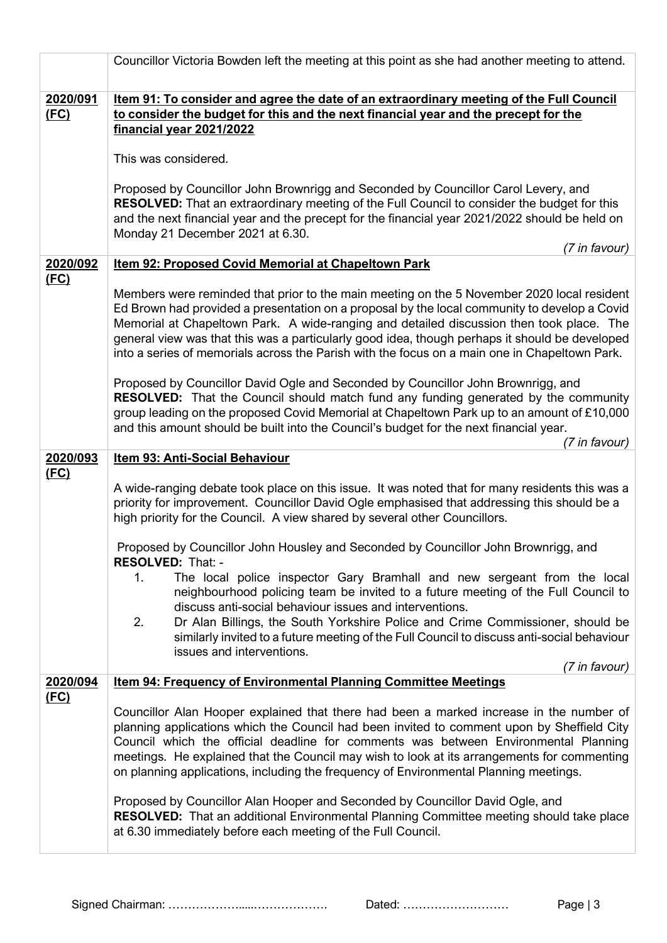|                  | Councillor Victoria Bowden left the meeting at this point as she had another meeting to attend.                                                                                                                                                                                                                                                                                                                                                                                           |
|------------------|-------------------------------------------------------------------------------------------------------------------------------------------------------------------------------------------------------------------------------------------------------------------------------------------------------------------------------------------------------------------------------------------------------------------------------------------------------------------------------------------|
| 2020/091<br>(FC) | Item 91: To consider and agree the date of an extraordinary meeting of the Full Council<br>to consider the budget for this and the next financial year and the precept for the<br>financial year 2021/2022                                                                                                                                                                                                                                                                                |
|                  | This was considered.                                                                                                                                                                                                                                                                                                                                                                                                                                                                      |
|                  | Proposed by Councillor John Brownrigg and Seconded by Councillor Carol Levery, and<br><b>RESOLVED:</b> That an extraordinary meeting of the Full Council to consider the budget for this<br>and the next financial year and the precept for the financial year 2021/2022 should be held on<br>Monday 21 December 2021 at 6.30.                                                                                                                                                            |
|                  | (7 in favour)                                                                                                                                                                                                                                                                                                                                                                                                                                                                             |
| 2020/092<br>(FC) | Item 92: Proposed Covid Memorial at Chapeltown Park                                                                                                                                                                                                                                                                                                                                                                                                                                       |
|                  | Members were reminded that prior to the main meeting on the 5 November 2020 local resident<br>Ed Brown had provided a presentation on a proposal by the local community to develop a Covid<br>Memorial at Chapeltown Park. A wide-ranging and detailed discussion then took place. The<br>general view was that this was a particularly good idea, though perhaps it should be developed<br>into a series of memorials across the Parish with the focus on a main one in Chapeltown Park. |
|                  | Proposed by Councillor David Ogle and Seconded by Councillor John Brownrigg, and<br><b>RESOLVED:</b> That the Council should match fund any funding generated by the community<br>group leading on the proposed Covid Memorial at Chapeltown Park up to an amount of £10,000<br>and this amount should be built into the Council's budget for the next financial year.<br>(7 in favour)                                                                                                   |
| 2020/093         | Item 93: Anti-Social Behaviour                                                                                                                                                                                                                                                                                                                                                                                                                                                            |
| (FC)             | A wide-ranging debate took place on this issue. It was noted that for many residents this was a<br>priority for improvement. Councillor David Ogle emphasised that addressing this should be a<br>high priority for the Council. A view shared by several other Councillors.                                                                                                                                                                                                              |
|                  | Proposed by Councillor John Housley and Seconded by Councillor John Brownrigg, and<br>RESOLVED: That: -                                                                                                                                                                                                                                                                                                                                                                                   |
|                  | The local police inspector Gary Bramhall and new sergeant from the local<br>1.<br>neighbourhood policing team be invited to a future meeting of the Full Council to<br>discuss anti-social behaviour issues and interventions.                                                                                                                                                                                                                                                            |
|                  | 2.<br>Dr Alan Billings, the South Yorkshire Police and Crime Commissioner, should be<br>similarly invited to a future meeting of the Full Council to discuss anti-social behaviour<br>issues and interventions.                                                                                                                                                                                                                                                                           |
|                  | (7 in favour)                                                                                                                                                                                                                                                                                                                                                                                                                                                                             |
| 2020/094         | <b>Item 94: Frequency of Environmental Planning Committee Meetings</b>                                                                                                                                                                                                                                                                                                                                                                                                                    |
| (FC)             | Councillor Alan Hooper explained that there had been a marked increase in the number of<br>planning applications which the Council had been invited to comment upon by Sheffield City<br>Council which the official deadline for comments was between Environmental Planning<br>meetings. He explained that the Council may wish to look at its arrangements for commenting<br>on planning applications, including the frequency of Environmental Planning meetings.                      |
|                  | Proposed by Councillor Alan Hooper and Seconded by Councillor David Ogle, and<br>RESOLVED: That an additional Environmental Planning Committee meeting should take place<br>at 6.30 immediately before each meeting of the Full Council.                                                                                                                                                                                                                                                  |